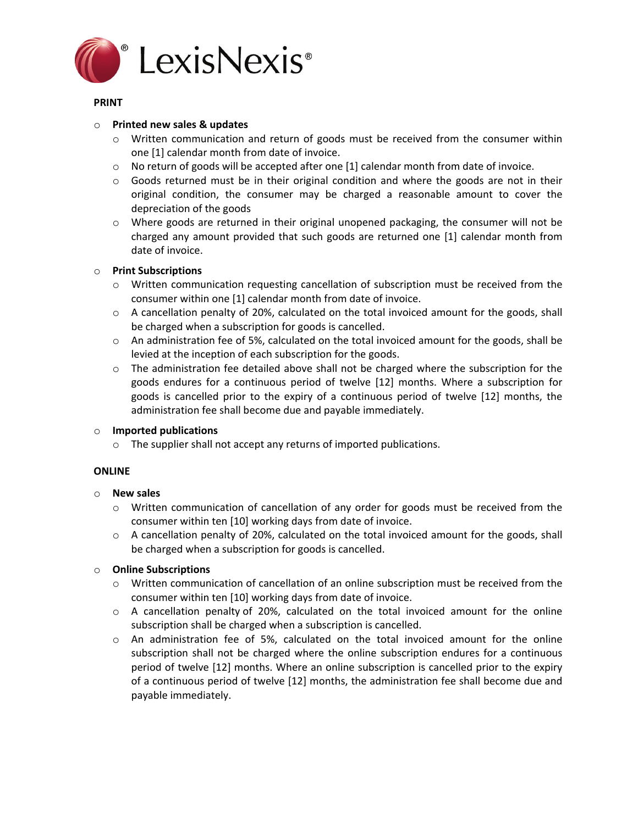

### **PRINT**

#### o **Printed new sales & updates**

- $\circ$  Written communication and return of goods must be received from the consumer within one [1] calendar month from date of invoice.
- $\circ$  No return of goods will be accepted after one [1] calendar month from date of invoice.
- $\circ$  Goods returned must be in their original condition and where the goods are not in their original condition, the consumer may be charged a reasonable amount to cover the depreciation of the goods
- o Where goods are returned in their original unopened packaging, the consumer will not be charged any amount provided that such goods are returned one [1] calendar month from date of invoice.

### o **Print Subscriptions**

- o Written communication requesting cancellation of subscription must be received from the consumer within one [1] calendar month from date of invoice.
- o A cancellation penalty of 20%, calculated on the total invoiced amount for the goods, shall be charged when a subscription for goods is cancelled.
- $\circ$  An administration fee of 5%, calculated on the total invoiced amount for the goods, shall be levied at the inception of each subscription for the goods.
- $\circ$  The administration fee detailed above shall not be charged where the subscription for the goods endures for a continuous period of twelve [12] months. Where a subscription for goods is cancelled prior to the expiry of a continuous period of twelve [12] months, the administration fee shall become due and payable immediately.

### o **Imported publications**

o The supplier shall not accept any returns of imported publications.

### **ONLINE**

### o **New sales**

- o Written communication of cancellation of any order for goods must be received from the consumer within ten [10] working days from date of invoice.
- o A cancellation penalty of 20%, calculated on the total invoiced amount for the goods, shall be charged when a subscription for goods is cancelled.

### o **Online Subscriptions**

- o Written communication of cancellation of an online subscription must be received from the consumer within ten [10] working days from date of invoice.
- o A cancellation penalty of 20%, calculated on the total invoiced amount for the online subscription shall be charged when a subscription is cancelled.
- o An administration fee of 5%, calculated on the total invoiced amount for the online subscription shall not be charged where the online subscription endures for a continuous period of twelve [12] months. Where an online subscription is cancelled prior to the expiry of a continuous period of twelve [12] months, the administration fee shall become due and payable immediately.